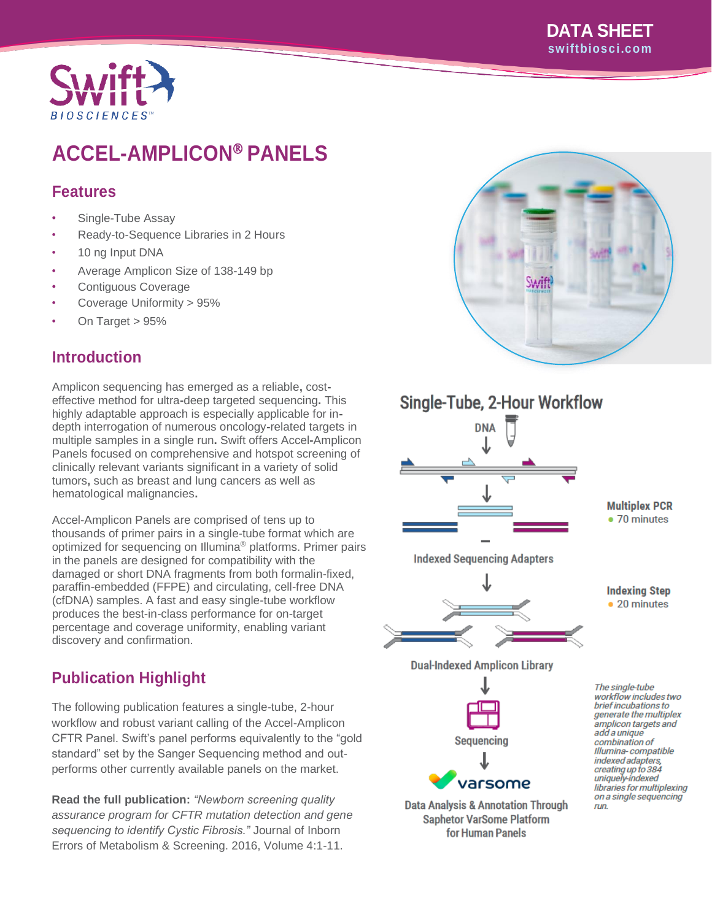### **DATA SHEET swiftbiosci.com**



# **ACCEL-AMPLICON PANELS**

# **Features**

- Single-Tube Assay
- Ready-to-Sequence Libraries in 2 Hours
- 10 ng Input DNA
- Average Amplicon Size of 138-149 bp
- Contiguous Coverage
- Coverage Uniformity > 95%
- On Target > 95%

# **Introduction**

Amplicon sequencing has emerged as a reliable**,** costeffective method for ultra**-**deep targeted sequencing**.** This highly adaptable approach is especially applicable for indepth interrogation of numerous oncology**-**related targets in multiple samples in a single run**.** Swift offers Accel**-**Amplicon Panels focused on comprehensive and hotspot screening of clinically relevant variants significant in a variety of solid tumors**,** such as breast and lung cancers as well as hematological malignancies**.**

Accel-Amplicon Panels are comprised of tens up to thousands of primer pairs in a single-tube format which are optimized for sequencing on Illumina® platforms. Primer pairs in the panels are designed for compatibility with the damaged or short DNA fragments from both formalin-fixed, paraffin-embedded (FFPE) and circulating, cell-free DNA (cfDNA) samples. A fast and easy single-tube workflow produces the best-in-class performance for on-target percentage and coverage uniformity, enabling variant discovery and confirmation.

# **Publication Highlight**

The following publication features a single-tube, 2-hour workflow and robust variant calling of the Accel-Amplicon CFTR Panel. Swift's panel performs equivalently to the "gold standard" set by the Sanger Sequencing method and outperforms other currently available panels on the market.

**Read the full publication:** *"Newborn screening quality assurance program for CFTR mutation detection and gene sequencing to identify Cystic Fibrosis."* Journal of Inborn Errors of Metabolism & Screening. 2016, Volume 4:1-11.







**Data Analysis & Annotation Through Saphetor VarSome Platform** for Human Panels

The single-tube workflow includes two *brief incubations to*<br>generate the multiplex amplicon targets and add a unique combination of Illumina-compatible indexed adapters, creating up to 384<br>uniquely-indexed libraries for multiplexing on a single sequencing run.